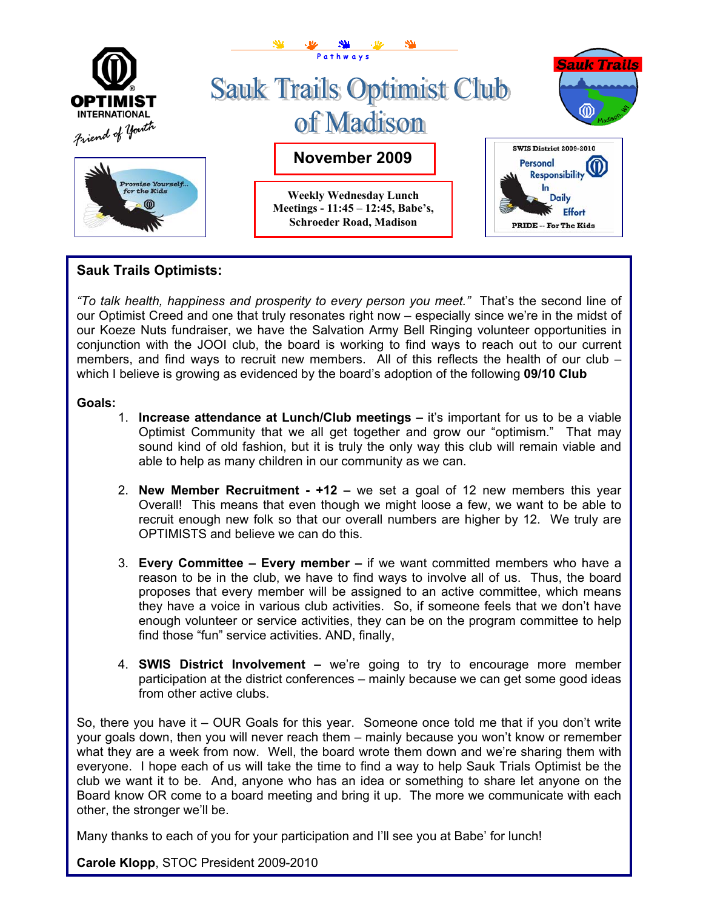

# **Sauk Trails Optimists:**

*"To talk health, happiness and prosperity to every person you meet."* That's the second line of our Optimist Creed and one that truly resonates right now – especially since we're in the midst of our Koeze Nuts fundraiser, we have the Salvation Army Bell Ringing volunteer opportunities in conjunction with the JOOI club, the board is working to find ways to reach out to our current members, and find ways to recruit new members. All of this reflects the health of our club – which I believe is growing as evidenced by the board's adoption of the following **09/10 Club**

#### **Goals:**

- 1. **Increase attendance at Lunch/Club meetings** it's important for us to be a viable Optimist Community that we all get together and grow our "optimism." That may sound kind of old fashion, but it is truly the only way this club will remain viable and able to help as many children in our community as we can.
- 2. **New Member Recruitment +12** we set a goal of 12 new members this year Overall! This means that even though we might loose a few, we want to be able to recruit enough new folk so that our overall numbers are higher by 12. We truly are OPTIMISTS and believe we can do this.
- 3. **Every Committee Every member** if we want committed members who have a reason to be in the club, we have to find ways to involve all of us. Thus, the board proposes that every member will be assigned to an active committee, which means they have a voice in various club activities. So, if someone feels that we don't have enough volunteer or service activities, they can be on the program committee to help find those "fun" service activities. AND, finally,
- 4. **SWIS District Involvement –** we're going to try to encourage more member participation at the district conferences – mainly because we can get some good ideas from other active clubs.

So, there you have it – OUR Goals for this year. Someone once told me that if you don't write your goals down, then you will never reach them – mainly because you won't know or remember what they are a week from now. Well, the board wrote them down and we're sharing them with everyone. I hope each of us will take the time to find a way to help Sauk Trials Optimist be the club we want it to be. And, anyone who has an idea or something to share let anyone on the Board know OR come to a board meeting and bring it up. The more we communicate with each other, the stronger we'll be.

Many thanks to each of you for your participation and I'll see you at Babe' for lunch!

**Carole Klopp**, STOC President 2009-2010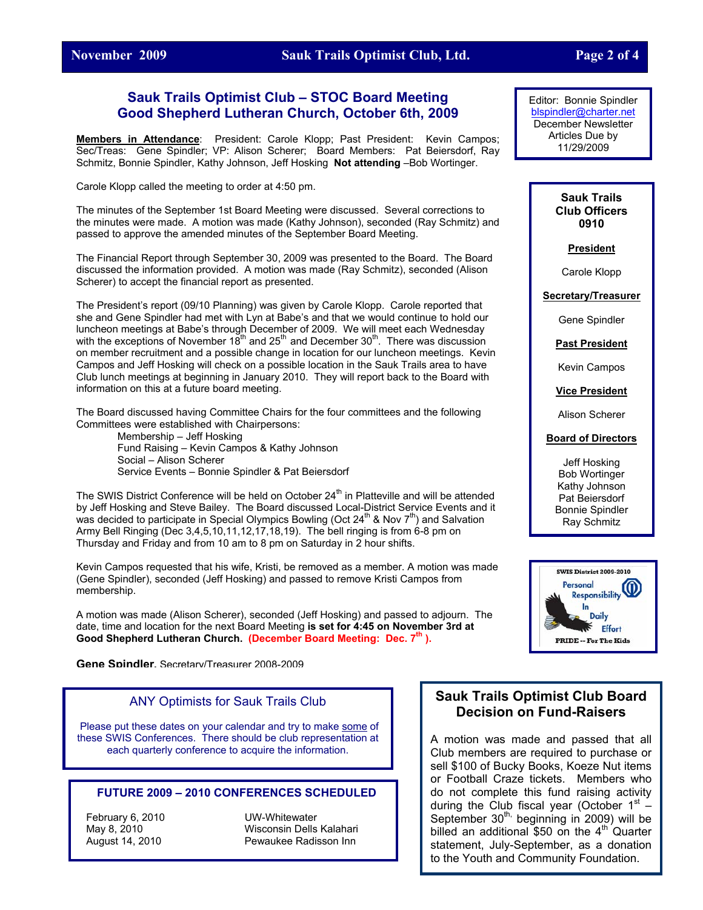#### **November 2009 Sauk Trails Optimist Club, Ltd. Page 2 of 4**

#### **Sauk Trails Optimist Club – STOC Board Meeting Good Shepherd Lutheran Church, October 6th, 2009**

**Members in Attendance**: President: Carole Klopp; Past President: Kevin Campos; Sec/Treas: Gene Spindler; VP: Alison Scherer; Board Members: Pat Beiersdorf, Ray Schmitz, Bonnie Spindler, Kathy Johnson, Jeff Hosking **Not attending** –Bob Wortinger.

Carole Klopp called the meeting to order at 4:50 pm.

The minutes of the September 1st Board Meeting were discussed. Several corrections to the minutes were made. A motion was made (Kathy Johnson), seconded (Ray Schmitz) and passed to approve the amended minutes of the September Board Meeting.

The Financial Report through September 30, 2009 was presented to the Board. The Board discussed the information provided. A motion was made (Ray Schmitz), seconded (Alison Scherer) to accept the financial report as presented.

The President's report (09/10 Planning) was given by Carole Klopp. Carole reported that she and Gene Spindler had met with Lyn at Babe's and that we would continue to hold our luncheon meetings at Babe's through December of 2009. We will meet each Wednesday with the exceptions of November  $18<sup>th</sup>$  and  $25<sup>th</sup>$  and December  $30<sup>th</sup>$ . There was discussion on member recruitment and a possible change in location for our luncheon meetings. Kevin Campos and Jeff Hosking will check on a possible location in the Sauk Trails area to have Club lunch meetings at beginning in January 2010. They will report back to the Board with information on this at a future board meeting.

The Board discussed having Committee Chairs for the four committees and the following Committees were established with Chairpersons:

> Membership – Jeff Hosking Fund Raising – Kevin Campos & Kathy Johnson Social – Alison Scherer Service Events – Bonnie Spindler & Pat Beiersdorf

The SWIS District Conference will be held on October  $24<sup>th</sup>$  in Platteville and will be attended by Jeff Hosking and Steve Bailey. The Board discussed Local-District Service Events and it was decided to participate in Special Olympics Bowling (Oct  $24^{th}$  & Nov  $7^{th}$ ) and Salvation Army Bell Ringing (Dec 3,4,5,10,11,12,17,18,19). The bell ringing is from 6-8 pm on Thursday and Friday and from 10 am to 8 pm on Saturday in 2 hour shifts.

Kevin Campos requested that his wife, Kristi, be removed as a member. A motion was made (Gene Spindler), seconded (Jeff Hosking) and passed to remove Kristi Campos from membership.

A motion was made (Alison Scherer), seconded (Jeff Hosking) and passed to adjourn. The date, time and location for the next Board Meeting **is set for 4:45 on November 3rd at**  Good Shepherd Lutheran Church. (December Board Meeting: Dec. 7<sup>th</sup>).

**Gene Spindler,** Secretary/Treasurer 2008-2009

#### ANY Optimists for Sauk Trails Club

Please put these dates on your calendar and try to make some of these SWIS Conferences. There should be club representation at each quarterly conference to acquire the information.

#### **FUTURE 2009 – 2010 CONFERENCES SCHEDULED**

February 6, 2010 UW-Whitewater

May 8, 2010 Wisconsin Dells Kalahari August 14, 2010 Pewaukee Radisson Inn

Editor: Bonnie Spindler [blspindler@charter.net](mailto:blspindler@charter.net) December Newsletter Articles Due by 11/29/2009

> **Sauk Trails Club Officers 0910**

> > **President**

Carole Klopp

**Secretary/Treasurer**

Gene Spindler

**Past President**

Kevin Campos

**Vice President**

Alison Scherer

#### **Board of Directors**

Jeff Hosking Bob Wortinger Kathy Johnson Pat Beiersdorf Bonnie Spindler Ray Schmitz



### **Sauk Trails Optimist Club Board Decision on Fund-Raisers**

A motion was made and passed that all Club members are required to purchase or sell \$100 of Bucky Books, Koeze Nut items or Football Craze tickets. Members who do not complete this fund raising activity during the Club fiscal year (October  $1<sup>st</sup>$  – September  $30<sup>th</sup>$ , beginning in 2009) will be billed an additional  $$50$  on the  $4<sup>th</sup>$  Quarter statement, July-September, as a donation to the Youth and Community Foundation.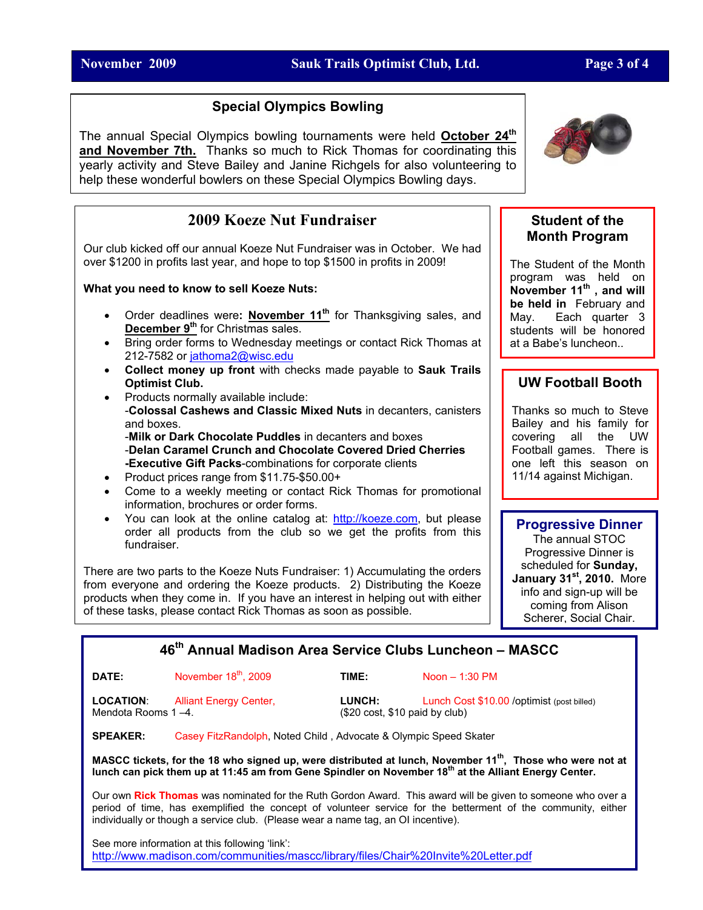### **November 2009 Sauk Trails Optimist Club, Ltd. Page 3 of 4**

### **Special Olympics Bowling**

The annual Special Olympics bowling tournaments were held **October 24th and November 7th.** Thanks so much to Rick Thomas for coordinating this yearly activity and Steve Bailey and Janine Richgels for also volunteering to help these wonderful bowlers on these Special Olympics Bowling days.

# **2009 Koeze Nut Fundraiser**

Our club kicked off our annual Koeze Nut Fundraiser was in October. We had over \$1200 in profits last year, and hope to top \$1500 in profits in 2009!

**What you need to know to sell Koeze Nuts:**

- Order deadlines were: **November 11<sup>th</sup>** for Thanksgiving sales, and **December 9<sup>th</sup>** for Christmas sales.
- Bring order forms to Wednesday meetings or contact Rick Thomas at 212-7582 or [jathoma2@wisc.edu](mailto:jathoma2@wisc.edu)
- **Collect money up front** with checks made payable to **Sauk Trails Optimist Club.**
- Products normally available include: -**Colossal Cashews and Classic Mixed Nuts** in decanters, canisters and boxes. -**Milk or Dark Chocolate Puddles** in decanters and boxes -**Delan Caramel Crunch and Chocolate Covered Dried Cherries -Executive Gift Packs**-combinations for corporate clients
- Product prices range from \$11.75-\$50.00+
- Come to a weekly meeting or contact Rick Thomas for promotional information, brochures or order forms.
- You can look at the online catalog at: [http://koeze.com,](http://koeze.com/) but please order all products from the club so we get the profits from this fundraiser.

There are two parts to the Koeze Nuts Fundraiser: 1) Accumulating the orders from everyone and ordering the Koeze products. 2) Distributing the Koeze products when they come in. If you have an interest in helping out with either of these tasks, please contact Rick Thomas as soon as possible.



#### **Student of the Month Program**

The Student of the Month program was held on **November 11th , and will be held in** February and May. Each quarter 3 students will be honored at a Babe's luncheon..

# **UW Football Booth**

Thanks so much to Steve Bailey and his family for covering all the UW Football games. There is one left this season on 11/14 against Michigan.

### **Progressive Dinner**

The annual STOC Progressive Dinner is scheduled for **Sunday, January 31st, 2010.** More info and sign-up will be coming from Alison Scherer, Social Chair.

# **46th Annual Madison Area Service Clubs Luncheon – MASCC**

#### **DATE:** November 18<sup>th</sup>, 2009 **TIME:** Noon – 1:30 PM

Mendota Rooms 1 –4. (\$20 cost, \$10 paid by club)

**LOCATION**: Alliant Energy Center, **LUNCH:** Lunch Cost \$10.00 /optimist (post billed)

**SPEAKER:** Casey FitzRandolph, Noted Child , Advocate & Olympic Speed Skater

**MASCC tickets, for the 18 who signed up, were distributed at lunch, November 11th, Those who were not at** lunch can pick them up at 11:45 am from Gene Spindler on November 18<sup>th</sup> at the Alliant Energy Center.

Our own **Rick Thomas** was nominated for the Ruth Gordon Award. This award will be given to someone who over a period of time, has exemplified the concept of volunteer service for the betterment of the community, either individually or though a service club. (Please wear a name tag, an OI incentive).

See more information at this following 'link': [http://www.madison.com/communities/mascc/library/files/Chair%20Invite%20Letter.pdf](http://www.madison.com/communities/mascc/library/files/Chair Invite Letter.pdf)